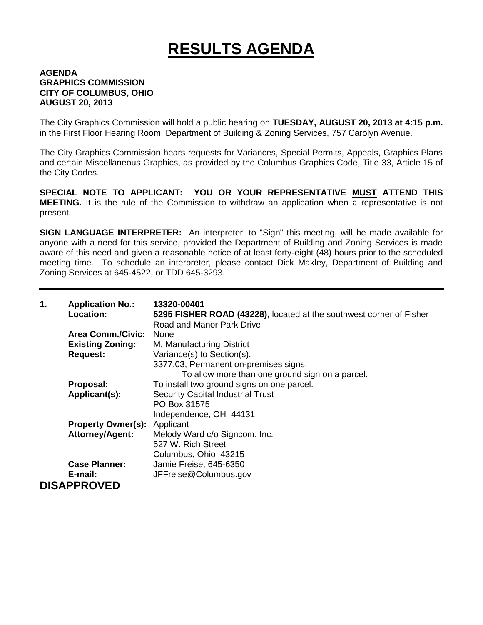## **RESULTS AGENDA**

## **AGENDA GRAPHICS COMMISSION CITY OF COLUMBUS, OHIO AUGUST 20, 2013**

The City Graphics Commission will hold a public hearing on **TUESDAY, AUGUST 20, 2013 at 4:15 p.m.** in the First Floor Hearing Room, Department of Building & Zoning Services, 757 Carolyn Avenue.

The City Graphics Commission hears requests for Variances, Special Permits, Appeals, Graphics Plans and certain Miscellaneous Graphics, as provided by the Columbus Graphics Code, Title 33, Article 15 of the City Codes.

**SPECIAL NOTE TO APPLICANT: YOU OR YOUR REPRESENTATIVE MUST ATTEND THIS MEETING.** It is the rule of the Commission to withdraw an application when a representative is not present.

**SIGN LANGUAGE INTERPRETER:** An interpreter, to "Sign" this meeting, will be made available for anyone with a need for this service, provided the Department of Building and Zoning Services is made aware of this need and given a reasonable notice of at least forty-eight (48) hours prior to the scheduled meeting time. To schedule an interpreter, please contact Dick Makley, Department of Building and Zoning Services at 645-4522, or TDD 645-3293.

| 1. | <b>Application No.:</b><br>Location: | 13320-00401<br>5295 FISHER ROAD (43228), located at the southwest corner of Fisher<br><b>Road and Manor Park Drive</b> |
|----|--------------------------------------|------------------------------------------------------------------------------------------------------------------------|
|    | <b>Area Comm./Civic:</b>             | <b>None</b>                                                                                                            |
|    | <b>Existing Zoning:</b>              | M, Manufacturing District                                                                                              |
|    | <b>Request:</b>                      | Variance(s) to Section(s):                                                                                             |
|    |                                      | 3377.03, Permanent on-premises signs.                                                                                  |
|    |                                      | To allow more than one ground sign on a parcel.                                                                        |
|    | Proposal:                            | To install two ground signs on one parcel.                                                                             |
|    | Applicant(s):                        | <b>Security Capital Industrial Trust</b>                                                                               |
|    |                                      | PO Box 31575                                                                                                           |
|    |                                      | Independence, OH 44131                                                                                                 |
|    | <b>Property Owner(s):</b>            | Applicant                                                                                                              |
|    | <b>Attorney/Agent:</b>               | Melody Ward c/o Signcom, Inc.                                                                                          |
|    |                                      | 527 W. Rich Street                                                                                                     |
|    |                                      | Columbus, Ohio 43215                                                                                                   |
|    | <b>Case Planner:</b>                 | Jamie Freise, 645-6350                                                                                                 |
|    | E-mail:                              | JFFreise@Columbus.gov                                                                                                  |
|    | <b>DISAPPROVED</b>                   |                                                                                                                        |